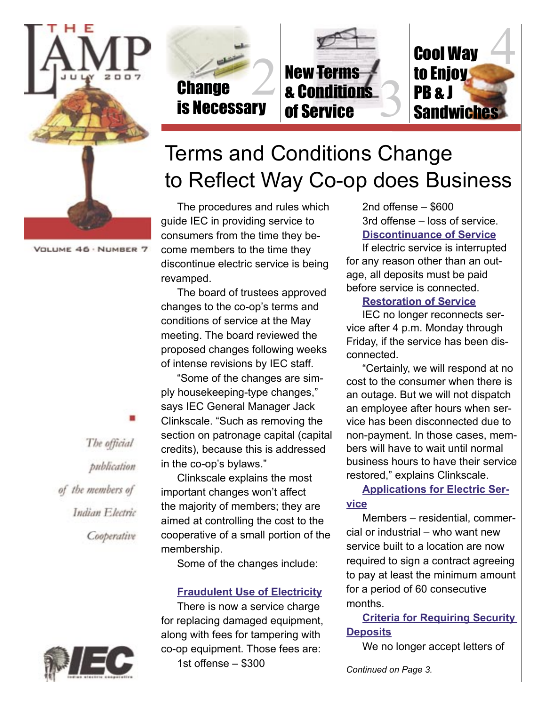

VOLUME 46 · NUMBER 7



# Terms and Conditions Change to Reflect Way Co-op does Business

The procedures and rules which guide IEC in providing service to consumers from the time they become members to the time they discontinue electric service is being revamped.

The board of trustees approved changes to the co-op's terms and conditions of service at the May meeting. The board reviewed the proposed changes following weeks of intense revisions by IEC staff.

"Some of the changes are simply housekeeping-type changes," says IEC General Manager Jack Clinkscale. "Such as removing the section on patronage capital (capital credits), because this is addressed in the co-op's bylaws."

Clinkscale explains the most important changes won't affect the majority of members; they are aimed at controlling the cost to the cooperative of a small portion of the membership.

Some of the changes include:

#### **Fraudulent Use of Electricity**

There is now a service charge for replacing damaged equipment, along with fees for tampering with co-op equipment. Those fees are: 1st offense – \$300

2nd offense – \$600 3rd offense – loss of service. **Discontinuance of Service**

If electric service is interrupted for any reason other than an outage, all deposits must be paid before service is connected.

#### **Restoration of Service**

IEC no longer reconnects service after 4 p.m. Monday through Friday, if the service has been disconnected.

"Certainly, we will respond at no cost to the consumer when there is an outage. But we will not dispatch an employee after hours when service has been disconnected due to non-payment. In those cases, members will have to wait until normal business hours to have their service restored," explains Clinkscale.

**Applications for Electric Service**

Members – residential, commercial or industrial – who want new service built to a location are now required to sign a contract agreeing to pay at least the minimum amount for a period of 60 consecutive months.

**Criteria for Requiring Security Deposits**

We no longer accept letters of

*Continued on Page 3.*

The official publication of the members of Indian Electric Cooperative

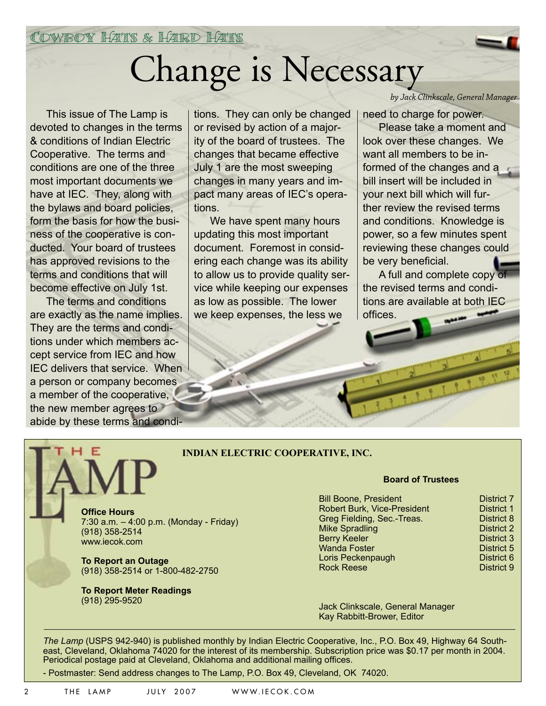Cowboy Hats & Hard Hats

# Change is Necessary

This issue of The Lamp is devoted to changes in the terms & conditions of Indian Electric Cooperative. The terms and conditions are one of the three most important documents we have at IEC. They, along with the bylaws and board policies, form the basis for how the business of the cooperative is conducted. Your board of trustees has approved revisions to the terms and conditions that will become effective on July 1st.

The terms and conditions are exactly as the name implies. They are the terms and conditions under which members accept service from IEC and how IEC delivers that service. When a person or company becomes a member of the cooperative, the new member agrees to abide by these terms and conditions. They can only be changed or revised by action of a majority of the board of trustees. The changes that became effective July 1 are the most sweeping changes in many years and impact many areas of IEC's operations.

We have spent many hours updating this most important document. Foremost in considering each change was its ability to allow us to provide quality service while keeping our expenses as low as possible. The lower we keep expenses, the less we

*by Jack Clinkscale, General Manager*

need to charge for power. Please take a moment and look over these changes. We want all members to be informed of the changes and a bill insert will be included in your next bill which will further review the revised terms and conditions. Knowledge is power, so a few minutes spent reviewing these changes could be very beneficial.

A full and complete copy of the revised terms and conditions are available at both IEC offices.

#### **INDIAN ELECTRIC COOPERATIVE, INC.**

**Office Hours** 7:30 a.m. – 4:00 p.m. (Monday - Friday) (918) 358-2514 www.iecok.com

**To Report an Outage** (918) 358-2514 or 1-800-482-2750

**To Report Meter Readings**  (918) 295-9520

#### **Board of Trustees**

| <b>District 7</b> |
|-------------------|
| <b>District 1</b> |
| District 8        |
| <b>District 2</b> |
| <b>District 3</b> |
| <b>District 5</b> |
| District 6        |
| District 9        |
|                   |

Jack Clinkscale, General Manager Kay Rabbitt-Brower, Editor

*The Lamp* (USPS 942-940) is published monthly by Indian Electric Cooperative, Inc., P.O. Box 49, Highway 64 Southeast, Cleveland, Oklahoma 74020 for the interest of its membership. Subscription price was \$0.17 per month in 2004. Periodical postage paid at Cleveland, Oklahoma and additional mailing offices.

- Postmaster: Send address changes to The Lamp, P.O. Box 49, Cleveland, OK 74020.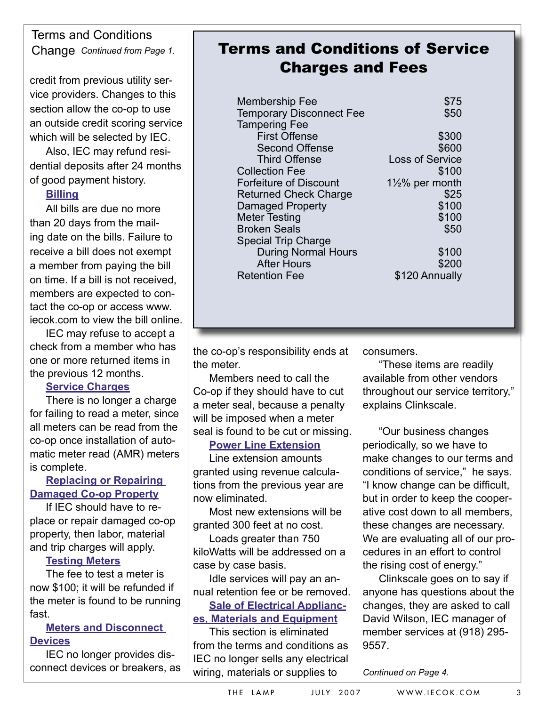### Terms and Conditions Change *Continued from Page 1.*

credit from previous utility service providers. Changes to this section allow the co-op to use an outside credit scoring service which will be selected by IEC.

Also, IEC may refund residential deposits after 24 months of good payment history.

#### **Billing**

All bills are due no more than 20 days from the mailing date on the bills. Failure to receive a bill does not exempt a member from paying the bill on time. If a bill is not received, members are expected to contact the co-op or access www. iecok.com to view the bill online.

IEC may refuse to accept a check from a member who has one or more returned items in the previous 12 months.

#### **Service Charges**

There is no longer a charge for failing to read a meter, since all meters can be read from the co-op once installation of automatic meter read (AMR) meters is complete.

#### **Replacing or Repairing Damaged Co-op Property**

If IEC should have to replace or repair damaged co-op property, then labor, material and trip charges will apply.

#### **Testing Meters**

The fee to test a meter is now \$100; it will be refunded if the meter is found to be running fast.

#### **Meters and Disconnect Devices**

IEC no longer provides disconnect devices or breakers, as

## Terms and Conditions of Service Charges and Fees

| <b>Membership Fee</b><br><b>Temporary Disconnect Fee</b> | \$75<br>\$50               |
|----------------------------------------------------------|----------------------------|
| <b>Tampering Fee</b><br><b>First Offense</b>             | \$300                      |
| <b>Second Offense</b>                                    | \$600                      |
| <b>Third Offense</b>                                     | <b>Loss of Service</b>     |
| <b>Collection Fee</b>                                    | \$100                      |
| Forfeiture of Discount                                   | $1\frac{1}{2}\%$ per month |
| <b>Returned Check Charge</b>                             | \$25                       |
| Damaged Property                                         | \$100                      |
| <b>Meter Testing</b>                                     | \$100                      |
| <b>Broken Seals</b>                                      | \$50                       |
| <b>Special Trip Charge</b>                               |                            |
| <b>During Normal Hours</b>                               | \$100                      |
| <b>After Hours</b>                                       | \$200                      |
| <b>Retention Fee</b>                                     | \$120 Annually             |
|                                                          |                            |

the co-op's responsibility ends at the meter.

Members need to call the Co-op if they should have to cut a meter seal, because a penalty will be imposed when a meter seal is found to be cut or missing.

#### **Power Line Extension**

Line extension amounts granted using revenue calculations from the previous year are now eliminated.

Most new extensions will be granted 300 feet at no cost.

Loads greater than 750 kiloWatts will be addressed on a case by case basis.

Idle services will pay an annual retention fee or be removed.

#### **Sale of Electrical Appliances, Materials and Equipment**

This section is eliminated from the terms and conditions as IEC no longer sells any electrical wiring, materials or supplies to

consumers.

"These items are readily available from other vendors throughout our service territory," explains Clinkscale.

"Our business changes periodically, so we have to make changes to our terms and conditions of service," he says. "I know change can be difficult, but in order to keep the cooperative cost down to all members, these changes are necessary. We are evaluating all of our procedures in an effort to control the rising cost of energy."

Clinkscale goes on to say if anyone has questions about the changes, they are asked to call David Wilson, IEC manager of member services at (918) 295- 9557.

*Continued on Page 4.*